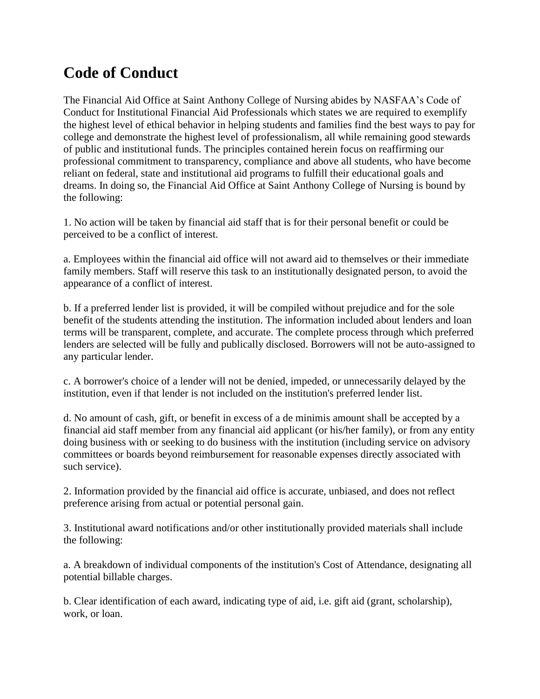## **Code of Conduct**

The Financial Aid Office at Saint Anthony College of Nursing abides by NASFAA's Code of Conduct for Institutional Financial Aid Professionals which states we are required to exemplify the highest level of ethical behavior in helping students and families find the best ways to pay for college and demonstrate the highest level of professionalism, all while remaining good stewards of public and institutional funds. The principles contained herein focus on reaffirming our professional commitment to transparency, compliance and above all students, who have become reliant on federal, state and institutional aid programs to fulfill their educational goals and dreams. In doing so, the Financial Aid Office at Saint Anthony College of Nursing is bound by the following:

1. No action will be taken by financial aid staff that is for their personal benefit or could be perceived to be a conflict of interest.

a. Employees within the financial aid office will not award aid to themselves or their immediate family members. Staff will reserve this task to an institutionally designated person, to avoid the appearance of a conflict of interest.

b. If a preferred lender list is provided, it will be compiled without prejudice and for the sole benefit of the students attending the institution. The information included about lenders and loan terms will be transparent, complete, and accurate. The complete process through which preferred lenders are selected will be fully and publically disclosed. Borrowers will not be auto-assigned to any particular lender.

c. A borrower's choice of a lender will not be denied, impeded, or unnecessarily delayed by the institution, even if that lender is not included on the institution's preferred lender list.

d. No amount of cash, gift, or benefit in excess of a de minimis amount shall be accepted by a financial aid staff member from any financial aid applicant (or his/her family), or from any entity doing business with or seeking to do business with the institution (including service on advisory committees or boards beyond reimbursement for reasonable expenses directly associated with such service).

2. Information provided by the financial aid office is accurate, unbiased, and does not reflect preference arising from actual or potential personal gain.

3. Institutional award notifications and/or other institutionally provided materials shall include the following:

a. A breakdown of individual components of the institution's Cost of Attendance, designating all potential billable charges.

b. Clear identification of each award, indicating type of aid, i.e. gift aid (grant, scholarship), work, or loan.